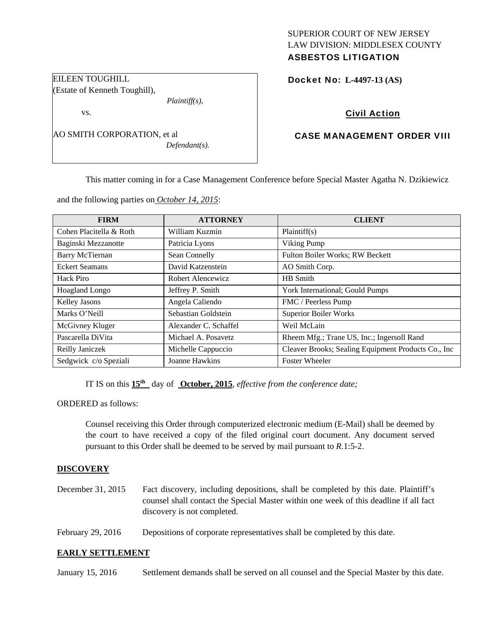# SUPERIOR COURT OF NEW JERSEY LAW DIVISION: MIDDLESEX COUNTY ASBESTOS LITIGATION

Docket No: **L-4497-13 (AS)** 

# Civil Action

# CASE MANAGEMENT ORDER VIII

This matter coming in for a Case Management Conference before Special Master Agatha N. Dzikiewicz

and the following parties on *October 14, 2015*:

*Plaintiff(s),* 

*Defendant(s).* 

EILEEN TOUGHILL

vs.

(Estate of Kenneth Toughill),

AO SMITH CORPORATION, et al

| <b>FIRM</b>             | <b>ATTORNEY</b>       | <b>CLIENT</b>                                       |  |
|-------------------------|-----------------------|-----------------------------------------------------|--|
| Cohen Placitella & Roth | William Kuzmin        | Plaintiff(s)                                        |  |
| Baginski Mezzanotte     | Patricia Lyons        | Viking Pump                                         |  |
| <b>Barry McTiernan</b>  | Sean Connelly         | <b>Fulton Boiler Works; RW Beckett</b>              |  |
| <b>Eckert Seamans</b>   | David Katzenstein     | AO Smith Corp.                                      |  |
| Hack Piro               | Robert Alencewicz     | HB Smith                                            |  |
| Hoagland Longo          | Jeffrey P. Smith      | York International; Gould Pumps                     |  |
| Kelley Jasons           | Angela Caliendo       | FMC / Peerless Pump                                 |  |
| Marks O'Neill           | Sebastian Goldstein   | <b>Superior Boiler Works</b>                        |  |
| McGivney Kluger         | Alexander C. Schaffel | Weil McLain                                         |  |
| Pascarella DiVita       | Michael A. Posavetz   | Rheem Mfg.; Trane US, Inc.; Ingersoll Rand          |  |
| Reilly Janiczek         | Michelle Cappuccio    | Cleaver Brooks; Sealing Equipment Products Co., Inc |  |
| Sedgwick c/o Speziali   | Joanne Hawkins        | <b>Foster Wheeler</b>                               |  |

IT IS on this **15th** day of **October, 2015**, *effective from the conference date;*

ORDERED as follows:

Counsel receiving this Order through computerized electronic medium (E-Mail) shall be deemed by the court to have received a copy of the filed original court document. Any document served pursuant to this Order shall be deemed to be served by mail pursuant to *R*.1:5-2.

#### **DISCOVERY**

- December 31, 2015 Fact discovery, including depositions, shall be completed by this date. Plaintiff's counsel shall contact the Special Master within one week of this deadline if all fact discovery is not completed.
- February 29, 2016 Depositions of corporate representatives shall be completed by this date.

#### **EARLY SETTLEMENT**

January 15, 2016 Settlement demands shall be served on all counsel and the Special Master by this date.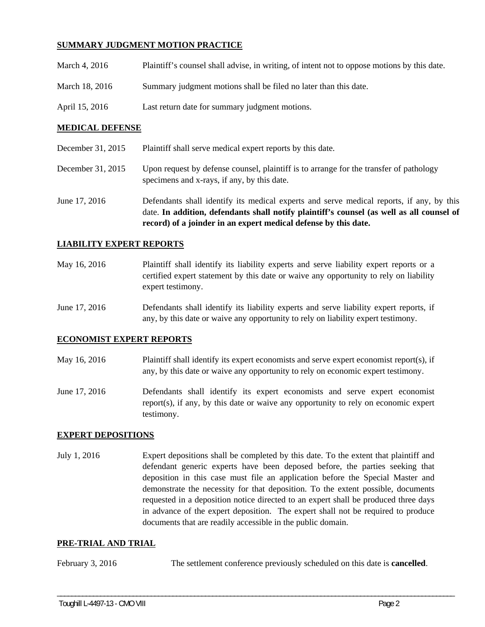# **SUMMARY JUDGMENT MOTION PRACTICE**

| March 4, 2016  | Plaintiff's counsel shall advise, in writing, of intent not to oppose motions by this date. |
|----------------|---------------------------------------------------------------------------------------------|
| March 18, 2016 | Summary judgment motions shall be filed no later than this date.                            |
| April 15, 2016 | Last return date for summary judgment motions.                                              |

#### **MEDICAL DEFENSE**

| December 31, 2015 | Plaintiff shall serve medical expert reports by this date. |  |
|-------------------|------------------------------------------------------------|--|
|                   |                                                            |  |

December 31, 2015 Upon request by defense counsel, plaintiff is to arrange for the transfer of pathology specimens and x-rays, if any, by this date.

June 17, 2016 Defendants shall identify its medical experts and serve medical reports, if any, by this date. **In addition, defendants shall notify plaintiff's counsel (as well as all counsel of record) of a joinder in an expert medical defense by this date.** 

### **LIABILITY EXPERT REPORTS**

May 16, 2016 Plaintiff shall identify its liability experts and serve liability expert reports or a certified expert statement by this date or waive any opportunity to rely on liability expert testimony.

June 17, 2016 Defendants shall identify its liability experts and serve liability expert reports, if any, by this date or waive any opportunity to rely on liability expert testimony.

#### **ECONOMIST EXPERT REPORTS**

- May 16, 2016 Plaintiff shall identify its expert economists and serve expert economist report(s), if any, by this date or waive any opportunity to rely on economic expert testimony.
- June 17, 2016 Defendants shall identify its expert economists and serve expert economist report(s), if any, by this date or waive any opportunity to rely on economic expert testimony.

#### **EXPERT DEPOSITIONS**

July 1, 2016 Expert depositions shall be completed by this date. To the extent that plaintiff and defendant generic experts have been deposed before, the parties seeking that deposition in this case must file an application before the Special Master and demonstrate the necessity for that deposition. To the extent possible, documents requested in a deposition notice directed to an expert shall be produced three days in advance of the expert deposition. The expert shall not be required to produce documents that are readily accessible in the public domain.

#### **PRE-TRIAL AND TRIAL**

February 3, 2016 The settlement conference previously scheduled on this date is **cancelled**.

\_\_\_\_\_\_\_\_\_\_\_\_\_\_\_\_\_\_\_\_\_\_\_\_\_\_\_\_\_\_\_\_\_\_\_\_\_\_\_\_\_\_\_\_\_\_\_\_\_\_\_\_\_\_\_\_\_\_\_\_\_\_\_\_\_\_\_\_\_\_\_\_\_\_\_\_\_\_\_\_\_\_\_\_\_\_\_\_\_\_\_\_\_\_\_\_\_\_\_\_\_\_\_\_\_\_\_\_\_\_